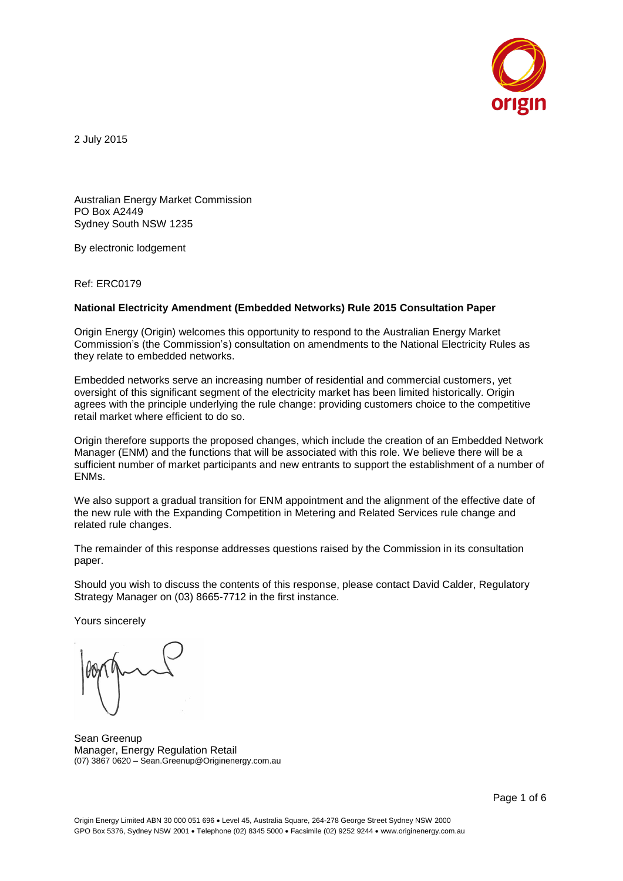

2 July 2015

Australian Energy Market Commission PO Box A2449 Sydney South NSW 1235

By electronic lodgement

Ref: ERC0179

#### **National Electricity Amendment (Embedded Networks) Rule 2015 Consultation Paper**

Origin Energy (Origin) welcomes this opportunity to respond to the Australian Energy Market Commission's (the Commission's) consultation on amendments to the National Electricity Rules as they relate to embedded networks.

Embedded networks serve an increasing number of residential and commercial customers, yet oversight of this significant segment of the electricity market has been limited historically. Origin agrees with the principle underlying the rule change: providing customers choice to the competitive retail market where efficient to do so.

Origin therefore supports the proposed changes, which include the creation of an Embedded Network Manager (ENM) and the functions that will be associated with this role. We believe there will be a sufficient number of market participants and new entrants to support the establishment of a number of ENMs.

We also support a gradual transition for ENM appointment and the alignment of the effective date of the new rule with the Expanding Competition in Metering and Related Services rule change and related rule changes.

The remainder of this response addresses questions raised by the Commission in its consultation paper.

Should you wish to discuss the contents of this response, please contact David Calder, Regulatory Strategy Manager on (03) 8665-7712 in the first instance.

Yours sincerely

Sean Greenup Manager, Energy Regulation Retail (07) 3867 0620 – Sean.Greenup@Originenergy.com.au

Page 1 of 6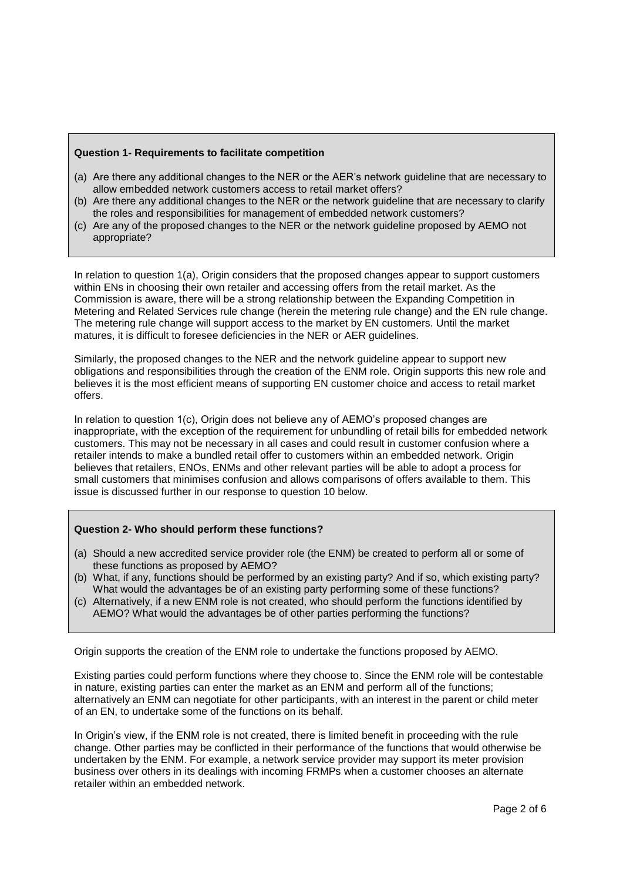### **Question 1- Requirements to facilitate competition**

- (a) Are there any additional changes to the NER or the AER's network guideline that are necessary to allow embedded network customers access to retail market offers?
- (b) Are there any additional changes to the NER or the network guideline that are necessary to clarify the roles and responsibilities for management of embedded network customers?
- (c) Are any of the proposed changes to the NER or the network guideline proposed by AEMO not appropriate?

In relation to question 1(a), Origin considers that the proposed changes appear to support customers within ENs in choosing their own retailer and accessing offers from the retail market. As the Commission is aware, there will be a strong relationship between the Expanding Competition in Metering and Related Services rule change (herein the metering rule change) and the EN rule change. The metering rule change will support access to the market by EN customers. Until the market matures, it is difficult to foresee deficiencies in the NER or AER guidelines.

Similarly, the proposed changes to the NER and the network guideline appear to support new obligations and responsibilities through the creation of the ENM role. Origin supports this new role and believes it is the most efficient means of supporting EN customer choice and access to retail market offers.

In relation to question 1(c), Origin does not believe any of AEMO's proposed changes are inappropriate, with the exception of the requirement for unbundling of retail bills for embedded network customers. This may not be necessary in all cases and could result in customer confusion where a retailer intends to make a bundled retail offer to customers within an embedded network. Origin believes that retailers, ENOs, ENMs and other relevant parties will be able to adopt a process for small customers that minimises confusion and allows comparisons of offers available to them. This issue is discussed further in our response to question 10 below.

# **Question 2- Who should perform these functions?**

- (a) Should a new accredited service provider role (the ENM) be created to perform all or some of these functions as proposed by AEMO?
- (b) What, if any, functions should be performed by an existing party? And if so, which existing party? What would the advantages be of an existing party performing some of these functions?
- (c) Alternatively, if a new ENM role is not created, who should perform the functions identified by AEMO? What would the advantages be of other parties performing the functions?

Origin supports the creation of the ENM role to undertake the functions proposed by AEMO.

Existing parties could perform functions where they choose to. Since the ENM role will be contestable in nature, existing parties can enter the market as an ENM and perform all of the functions; alternatively an ENM can negotiate for other participants, with an interest in the parent or child meter of an EN, to undertake some of the functions on its behalf.

In Origin's view, if the ENM role is not created, there is limited benefit in proceeding with the rule change. Other parties may be conflicted in their performance of the functions that would otherwise be undertaken by the ENM. For example, a network service provider may support its meter provision business over others in its dealings with incoming FRMPs when a customer chooses an alternate retailer within an embedded network.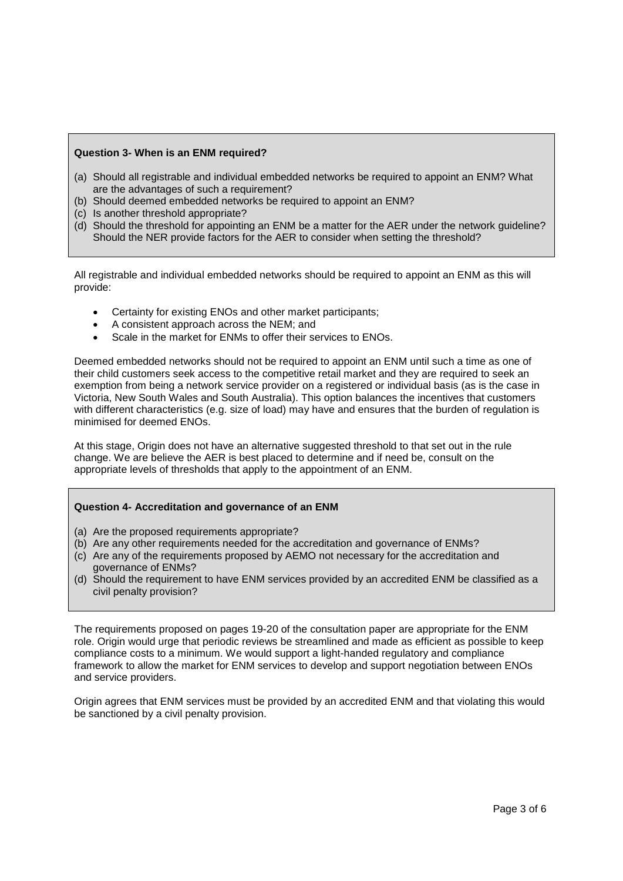### **Question 3- When is an ENM required?**

- (a) Should all registrable and individual embedded networks be required to appoint an ENM? What are the advantages of such a requirement?
- (b) Should deemed embedded networks be required to appoint an ENM?
- (c) Is another threshold appropriate?
- (d) Should the threshold for appointing an ENM be a matter for the AER under the network guideline? Should the NER provide factors for the AER to consider when setting the threshold?

All registrable and individual embedded networks should be required to appoint an ENM as this will provide:

- Certainty for existing ENOs and other market participants;
- A consistent approach across the NEM; and
- Scale in the market for ENMs to offer their services to ENOs.

Deemed embedded networks should not be required to appoint an ENM until such a time as one of their child customers seek access to the competitive retail market and they are required to seek an exemption from being a network service provider on a registered or individual basis (as is the case in Victoria, New South Wales and South Australia). This option balances the incentives that customers with different characteristics (e.g. size of load) may have and ensures that the burden of regulation is minimised for deemed ENOs.

At this stage, Origin does not have an alternative suggested threshold to that set out in the rule change. We are believe the AER is best placed to determine and if need be, consult on the appropriate levels of thresholds that apply to the appointment of an ENM.

### **Question 4- Accreditation and governance of an ENM**

- (a) Are the proposed requirements appropriate?
- (b) Are any other requirements needed for the accreditation and governance of ENMs?
- (c) Are any of the requirements proposed by AEMO not necessary for the accreditation and governance of ENMs?
- (d) Should the requirement to have ENM services provided by an accredited ENM be classified as a civil penalty provision?

The requirements proposed on pages 19-20 of the consultation paper are appropriate for the ENM role. Origin would urge that periodic reviews be streamlined and made as efficient as possible to keep compliance costs to a minimum. We would support a light-handed regulatory and compliance framework to allow the market for ENM services to develop and support negotiation between ENOs and service providers.

Origin agrees that ENM services must be provided by an accredited ENM and that violating this would be sanctioned by a civil penalty provision.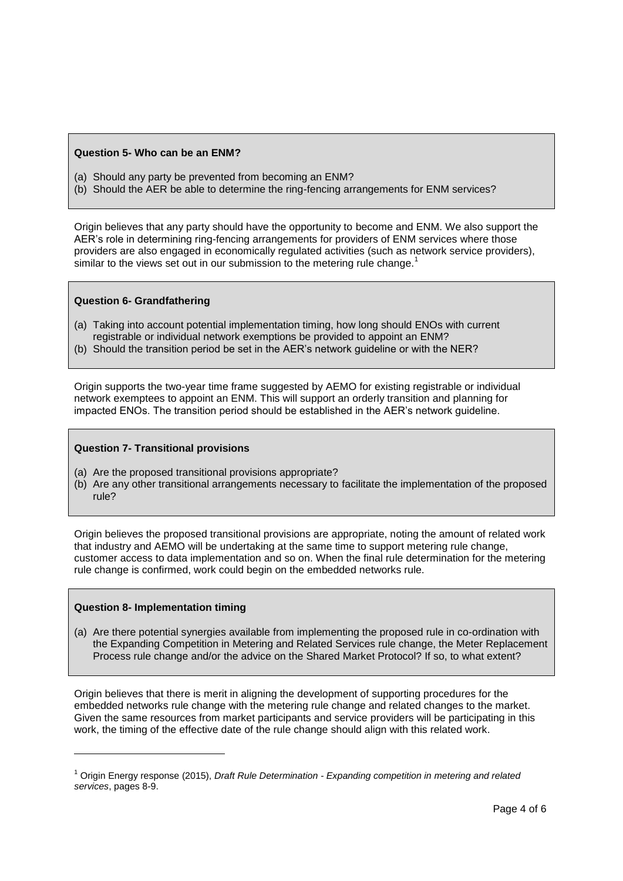### **Question 5- Who can be an ENM?**

- (a) Should any party be prevented from becoming an ENM?
- (b) Should the AER be able to determine the ring-fencing arrangements for ENM services?

Origin believes that any party should have the opportunity to become and ENM. We also support the AER's role in determining ring-fencing arrangements for providers of ENM services where those providers are also engaged in economically regulated activities (such as network service providers), similar to the views set out in our submission to the metering rule change.

# **Question 6- Grandfathering**

- (a) Taking into account potential implementation timing, how long should ENOs with current registrable or individual network exemptions be provided to appoint an ENM?
- (b) Should the transition period be set in the AER's network guideline or with the NER?

Origin supports the two-year time frame suggested by AEMO for existing registrable or individual network exemptees to appoint an ENM. This will support an orderly transition and planning for impacted ENOs. The transition period should be established in the AER's network guideline.

# **Question 7- Transitional provisions**

- (a) Are the proposed transitional provisions appropriate?
- (b) Are any other transitional arrangements necessary to facilitate the implementation of the proposed rule?

Origin believes the proposed transitional provisions are appropriate, noting the amount of related work that industry and AEMO will be undertaking at the same time to support metering rule change, customer access to data implementation and so on. When the final rule determination for the metering rule change is confirmed, work could begin on the embedded networks rule.

# **Question 8- Implementation timing**

l

(a) Are there potential synergies available from implementing the proposed rule in co-ordination with the Expanding Competition in Metering and Related Services rule change, the Meter Replacement Process rule change and/or the advice on the Shared Market Protocol? If so, to what extent?

Origin believes that there is merit in aligning the development of supporting procedures for the embedded networks rule change with the metering rule change and related changes to the market. Given the same resources from market participants and service providers will be participating in this work, the timing of the effective date of the rule change should align with this related work.

<sup>1</sup> Origin Energy response (2015), *Draft Rule Determination - Expanding competition in metering and related services*, pages 8-9.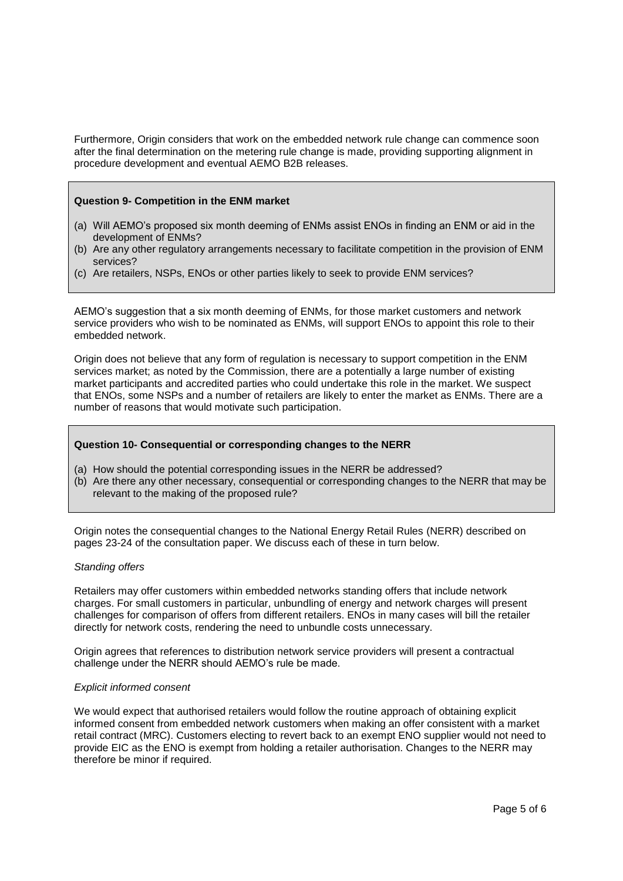Furthermore, Origin considers that work on the embedded network rule change can commence soon after the final determination on the metering rule change is made, providing supporting alignment in procedure development and eventual AEMO B2B releases.

### **Question 9- Competition in the ENM market**

- (a) Will AEMO's proposed six month deeming of ENMs assist ENOs in finding an ENM or aid in the development of ENMs?
- (b) Are any other regulatory arrangements necessary to facilitate competition in the provision of ENM services?
- (c) Are retailers, NSPs, ENOs or other parties likely to seek to provide ENM services?

AEMO's suggestion that a six month deeming of ENMs, for those market customers and network service providers who wish to be nominated as ENMs, will support ENOs to appoint this role to their embedded network.

Origin does not believe that any form of regulation is necessary to support competition in the ENM services market; as noted by the Commission, there are a potentially a large number of existing market participants and accredited parties who could undertake this role in the market. We suspect that ENOs, some NSPs and a number of retailers are likely to enter the market as ENMs. There are a number of reasons that would motivate such participation.

### **Question 10- Consequential or corresponding changes to the NERR**

- (a) How should the potential corresponding issues in the NERR be addressed?
- (b) Are there any other necessary, consequential or corresponding changes to the NERR that may be relevant to the making of the proposed rule?

Origin notes the consequential changes to the National Energy Retail Rules (NERR) described on pages 23-24 of the consultation paper. We discuss each of these in turn below.

#### *Standing offers*

Retailers may offer customers within embedded networks standing offers that include network charges. For small customers in particular, unbundling of energy and network charges will present challenges for comparison of offers from different retailers. ENOs in many cases will bill the retailer directly for network costs, rendering the need to unbundle costs unnecessary.

Origin agrees that references to distribution network service providers will present a contractual challenge under the NERR should AEMO's rule be made.

### *Explicit informed consent*

We would expect that authorised retailers would follow the routine approach of obtaining explicit informed consent from embedded network customers when making an offer consistent with a market retail contract (MRC). Customers electing to revert back to an exempt ENO supplier would not need to provide EIC as the ENO is exempt from holding a retailer authorisation. Changes to the NERR may therefore be minor if required.